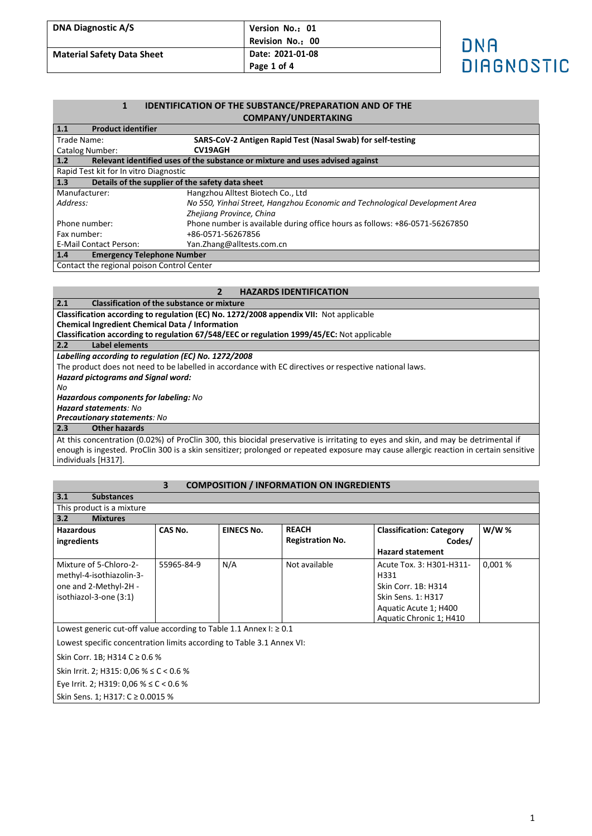| <b>DNA Diagnostic A/S</b>         | Version No.: 01  |            |
|-----------------------------------|------------------|------------|
|                                   | Revision No.: 00 | ONA        |
| <b>Material Safety Data Sheet</b> | Date: 2021-01-08 |            |
|                                   | Page 1 of 4      | DIAGNOSTIC |

# **1 IDENTIFICATION OF THE SUBSTANCE/PREPARATION AND OF THE COMPANY/UNDERTAKING**

| 1.1<br><b>Product identifier</b>                        |                                                                               |  |
|---------------------------------------------------------|-------------------------------------------------------------------------------|--|
| Trade Name:                                             | SARS-CoV-2 Antigen Rapid Test (Nasal Swab) for self-testing                   |  |
| Catalog Number:                                         | <b>CV19AGH</b>                                                                |  |
| 1.2                                                     | Relevant identified uses of the substance or mixture and uses advised against |  |
| Rapid Test kit for In vitro Diagnostic                  |                                                                               |  |
| 1.3<br>Details of the supplier of the safety data sheet |                                                                               |  |
| Manufacturer:                                           | Hangzhou Alltest Biotech Co., Ltd                                             |  |
| Address:                                                | No 550, Yinhai Street, Hangzhou Economic and Technological Development Area   |  |
|                                                         | Zhejiang Province, China                                                      |  |
| Phone number:                                           | Phone number is available during office hours as follows: +86-0571-56267850   |  |
| Fax number:                                             | +86-0571-56267856                                                             |  |
| l E-Mail Contact Person:                                | Yan.Zhang@alltests.com.cn                                                     |  |
| 1.4<br><b>Emergency Telephone Number</b>                |                                                                               |  |
| Contact the regional poison Control Center              |                                                                               |  |

# **2 HAZARDS IDENTIFICATION**

| 2.1<br><b>Classification of the substance or mixture</b>                                                                                                                                                                                                                    |  |  |
|-----------------------------------------------------------------------------------------------------------------------------------------------------------------------------------------------------------------------------------------------------------------------------|--|--|
| Classification according to regulation (EC) No. 1272/2008 appendix VII: Not applicable                                                                                                                                                                                      |  |  |
| <b>Chemical Ingredient Chemical Data / Information</b>                                                                                                                                                                                                                      |  |  |
| Classification according to regulation 67/548/EEC or regulation 1999/45/EC: Not applicable                                                                                                                                                                                  |  |  |
| 2.2<br>Label elements                                                                                                                                                                                                                                                       |  |  |
| Labelling according to regulation (EC) No. 1272/2008                                                                                                                                                                                                                        |  |  |
| The product does not need to be labelled in accordance with EC directives or respective national laws.                                                                                                                                                                      |  |  |
| <b>Hazard pictograms and Signal word:</b>                                                                                                                                                                                                                                   |  |  |
| No                                                                                                                                                                                                                                                                          |  |  |
| Hazardous components for labeling: No                                                                                                                                                                                                                                       |  |  |
| <b>Hazard statements: No</b>                                                                                                                                                                                                                                                |  |  |
| <b>Precautionary statements: No</b>                                                                                                                                                                                                                                         |  |  |
| 2.3<br>Other hazards                                                                                                                                                                                                                                                        |  |  |
| At this concentration (0.02%) of ProClin 300, this biocidal preservative is irritating to eyes and skin, and may be detrimental if<br>enough is ingested. ProClin 300 is a skin sensitizer; prolonged or repeated exposure may cause allergic reaction in certain sensitive |  |  |

enough is higested.<br>individuals [H317].

# **3 COMPOSITION / INFORMATION ON INGREDIENTS**

| 3.1                                                                     | <b>Substances</b>        |                |                   |                         |                                 |             |
|-------------------------------------------------------------------------|--------------------------|----------------|-------------------|-------------------------|---------------------------------|-------------|
| This product is a mixture                                               |                          |                |                   |                         |                                 |             |
| 3.2                                                                     | <b>Mixtures</b>          |                |                   |                         |                                 |             |
| <b>Hazardous</b>                                                        |                          | <b>CAS No.</b> | <b>EINECS No.</b> | <b>REACH</b>            | <b>Classification: Category</b> | <b>W/W%</b> |
| ingredients                                                             |                          |                |                   | <b>Registration No.</b> | Codes/                          |             |
|                                                                         |                          |                |                   |                         | <b>Hazard statement</b>         |             |
|                                                                         | Mixture of 5-Chloro-2-   | 55965-84-9     | N/A               | Not available           | Acute Tox. 3: H301-H311-        | 0,001%      |
|                                                                         | methyl-4-isothiazolin-3- |                |                   |                         | H331                            |             |
|                                                                         | one and 2-Methyl-2H -    |                |                   |                         | Skin Corr. 1B: H314             |             |
|                                                                         | isothiazol-3-one (3:1)   |                |                   |                         | Skin Sens. 1: H317              |             |
|                                                                         |                          |                |                   |                         | Aquatic Acute 1; H400           |             |
|                                                                         |                          |                |                   |                         | Aquatic Chronic 1; H410         |             |
| Lowest generic cut-off value according to Table 1.1 Annex I: $\geq 0.1$ |                          |                |                   |                         |                                 |             |
| Lowest specific concentration limits according to Table 3.1 Annex VI:   |                          |                |                   |                         |                                 |             |
| Skin Corr. 1B; H314 C ≥ 0.6 %                                           |                          |                |                   |                         |                                 |             |
| Skin Irrit. 2; H315: 0,06 % $\leq$ C < 0.6 %                            |                          |                |                   |                         |                                 |             |
| Eye Irrit. 2; H319: 0,06 % $\leq$ C < 0.6 %                             |                          |                |                   |                         |                                 |             |
| Skin Sens. 1; H317: C ≥ 0.0015 %                                        |                          |                |                   |                         |                                 |             |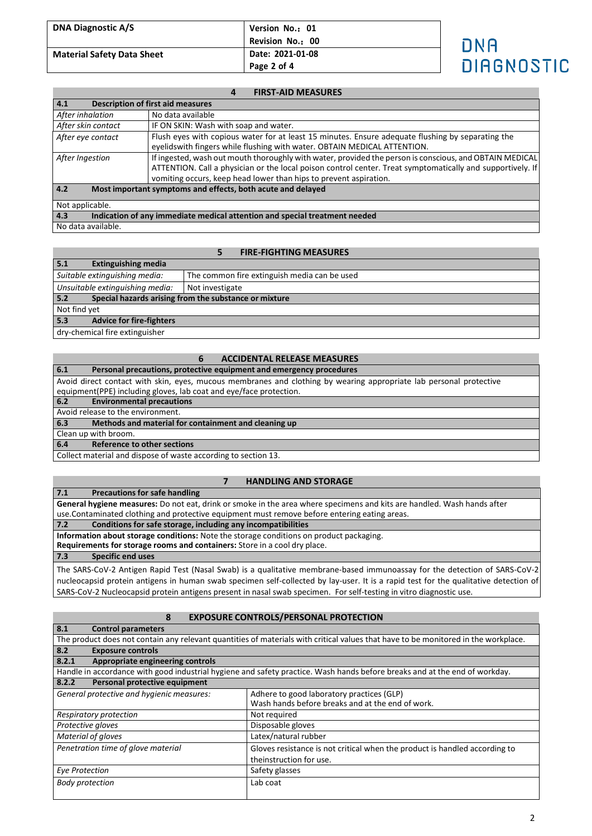| <b>DNA Diagnostic A/S</b>         | Version No.: 01                                     |                   |
|-----------------------------------|-----------------------------------------------------|-------------------|
| <b>Material Safety Data Sheet</b> | Revision No.: 00<br>Date: 2021-01-08<br>Page 2 of 4 | DNA<br>DIAGNOSTIO |
|                                   |                                                     |                   |

### **4 FIRST-AID MEASURES**

| 4.1                                                                               | <b>Description of first aid measures</b>                                                                                                                                                                                                                                                   |  |
|-----------------------------------------------------------------------------------|--------------------------------------------------------------------------------------------------------------------------------------------------------------------------------------------------------------------------------------------------------------------------------------------|--|
| After inhalation                                                                  | No data available                                                                                                                                                                                                                                                                          |  |
| After skin contact                                                                | IF ON SKIN: Wash with soap and water.                                                                                                                                                                                                                                                      |  |
| After eye contact                                                                 | Flush eyes with copious water for at least 15 minutes. Ensure adequate flushing by separating the<br>eyelidswith fingers while flushing with water. OBTAIN MEDICAL ATTENTION.                                                                                                              |  |
| After Ingestion                                                                   | If ingested, wash out mouth thoroughly with water, provided the person is conscious, and OBTAIN MEDICAL<br>ATTENTION. Call a physician or the local poison control center. Treat symptomatically and supportively. If<br>vomiting occurs, keep head lower than hips to prevent aspiration. |  |
| 4.2<br>Most important symptoms and effects, both acute and delayed                |                                                                                                                                                                                                                                                                                            |  |
| Not applicable.                                                                   |                                                                                                                                                                                                                                                                                            |  |
| 4.3<br>Indication of any immediate medical attention and special treatment needed |                                                                                                                                                                                                                                                                                            |  |
| No data available.                                                                |                                                                                                                                                                                                                                                                                            |  |

### **5 FIRE-FIGHTING MEASURES**

| 5.1<br><b>Extinguishing media</b>                            |                                              |  |
|--------------------------------------------------------------|----------------------------------------------|--|
| Suitable extinguishing media:                                | The common fire extinguish media can be used |  |
| Unsuitable extinguishing media:                              | Not investigate                              |  |
| 5.2<br>Special hazards arising from the substance or mixture |                                              |  |
| Not find yet                                                 |                                              |  |
| 5.3<br><b>Advice for fire-fighters</b>                       |                                              |  |
| dry-chemical fire extinguisher                               |                                              |  |

#### **6 ACCIDENTAL RELEASE MEASURES**

| 6.1<br>Personal precautions, protective equipment and emergency procedures                                         |
|--------------------------------------------------------------------------------------------------------------------|
| Avoid direct contact with skin, eyes, mucous membranes and clothing by wearing appropriate lab personal protective |
| equipment(PPE) including gloves, lab coat and eye/face protection.                                                 |
| <b>Environmental precautions</b><br>6.2                                                                            |
| Avoid release to the environment.                                                                                  |
| Methods and material for containment and cleaning up<br>6.3                                                        |
| Clean up with broom.                                                                                               |
| $c_A$<br>Defevered to other costions.                                                                              |

**6.4 Reference to other sections**

Collect material and dispose of waste according to section 13.

#### **7 HANDLING AND STORAGE**

**7.1 Precautions for safe handling General hygiene measures:** Do not eat, drink or smoke in the area where specimens and kits are handled. Wash hands after use.Contaminated clothing and protective equipment must remove before entering eating areas.<br>7.2 Conditions for safe storage, including any incompatibilities **7.2 Conditions for safe storage, including any incompatibilities Information about storage conditions:** Note the storage conditions on product packaging. **Requirements for storage rooms and containers:** Store in a cool dry place. **7.3 Specific end uses** The SARS-CoV-2 Antigen Rapid Test (Nasal Swab) is a qualitative membrane-based immunoassay for the detection of SARS-CoV-2

nucleocapsid protein antigens in human swab specimen self-collected by lay-user. It is a rapid test for the qualitative detection of SARS-CoV-2 Nucleocapsid protein antigens present in nasal swab specimen. For self-testing in vitro diagnostic use.

## **8 EXPOSURE CONTROLS/PERSONAL PROTECTION**

| 8.1<br><b>Control parameters</b>                                                                                                   |                                                                            |  |  |
|------------------------------------------------------------------------------------------------------------------------------------|----------------------------------------------------------------------------|--|--|
| The product does not contain any relevant quantities of materials with critical values that have to be monitored in the workplace. |                                                                            |  |  |
| 8.2<br><b>Exposure controls</b>                                                                                                    |                                                                            |  |  |
| 8.2.1<br>Appropriate engineering controls                                                                                          |                                                                            |  |  |
| Handle in accordance with good industrial hygiene and safety practice. Wash hands before breaks and at the end of workday.         |                                                                            |  |  |
| Personal protective equipment<br>8.2.2                                                                                             |                                                                            |  |  |
| General protective and hygienic measures:                                                                                          | Adhere to good laboratory practices (GLP)                                  |  |  |
|                                                                                                                                    | Wash hands before breaks and at the end of work.                           |  |  |
| Respiratory protection                                                                                                             | Not required                                                               |  |  |
| Protective gloves                                                                                                                  | Disposable gloves                                                          |  |  |
| Material of gloves                                                                                                                 | Latex/natural rubber                                                       |  |  |
| Penetration time of glove material                                                                                                 | Gloves resistance is not critical when the product is handled according to |  |  |
|                                                                                                                                    | theinstruction for use.                                                    |  |  |
| Eye Protection                                                                                                                     | Safety glasses                                                             |  |  |
| <b>Body protection</b>                                                                                                             | Lab coat                                                                   |  |  |
|                                                                                                                                    |                                                                            |  |  |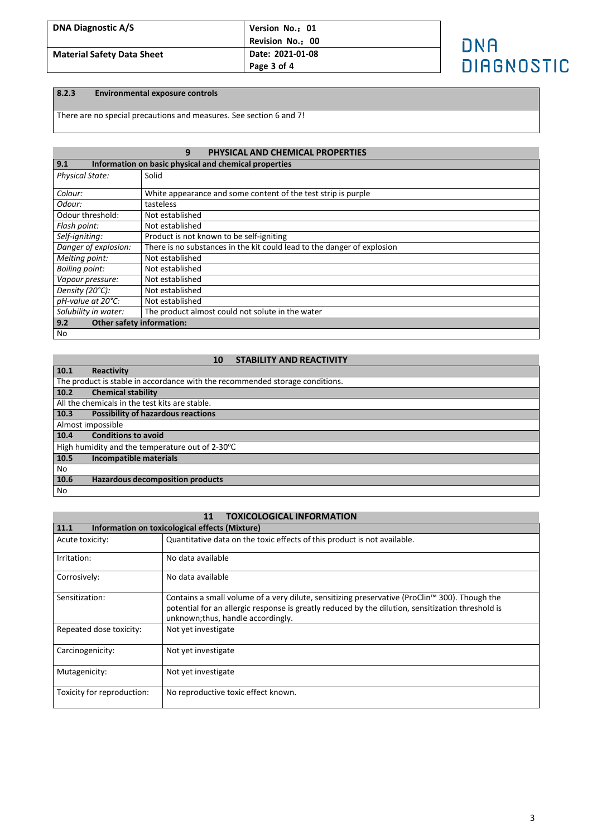| <b>DNA Diagnostic A/S</b>         | Version No.: 01<br>Revision No.: 00 | DNA               |
|-----------------------------------|-------------------------------------|-------------------|
| <b>Material Safety Data Sheet</b> | Date: 2021-01-08<br>Page 3 of 4     | <b>DIAGNOSTIC</b> |

# **8.2.3 Environmental exposure controls**

There are no special precautions and measures. See section 6 and 7!

# **9 PHYSICAL AND CHEMICAL PROPERTIES**

| 9.1                                     | Information on basic physical and chemical properties                   |  |  |  |
|-----------------------------------------|-------------------------------------------------------------------------|--|--|--|
| <b>Physical State:</b>                  | Solid                                                                   |  |  |  |
|                                         |                                                                         |  |  |  |
| Colour:                                 | White appearance and some content of the test strip is purple           |  |  |  |
| Odour:                                  | tasteless                                                               |  |  |  |
| Odour threshold:                        | Not established                                                         |  |  |  |
| Flash point:                            | Not established                                                         |  |  |  |
| Self-igniting:                          | Product is not known to be self-igniting                                |  |  |  |
| Danger of explosion:                    | There is no substances in the kit could lead to the danger of explosion |  |  |  |
| Melting point:                          | Not established                                                         |  |  |  |
| <b>Boiling point:</b>                   | Not established                                                         |  |  |  |
| Vapour pressure:                        | Not established                                                         |  |  |  |
| Density (20°C):                         | Not established                                                         |  |  |  |
| pH-value at 20°C:                       | Not established                                                         |  |  |  |
| Solubility in water:                    | The product almost could not solute in the water                        |  |  |  |
| <b>Other safety information:</b><br>9.2 |                                                                         |  |  |  |
| No                                      |                                                                         |  |  |  |

### **10 STABILITY AND REACTIVITY**

| 10.1                                            | <b>Reactivity</b>                                                            |  |
|-------------------------------------------------|------------------------------------------------------------------------------|--|
|                                                 | The product is stable in accordance with the recommended storage conditions. |  |
| 10.2                                            | <b>Chemical stability</b>                                                    |  |
|                                                 | All the chemicals in the test kits are stable.                               |  |
| 10.3                                            | <b>Possibility of hazardous reactions</b>                                    |  |
|                                                 | Almost impossible                                                            |  |
| 10.4                                            | <b>Conditions to avoid</b>                                                   |  |
| High humidity and the temperature out of 2-30°C |                                                                              |  |
| 10.5                                            | Incompatible materials                                                       |  |
| No                                              |                                                                              |  |
| 10.6                                            | <b>Hazardous decomposition products</b>                                      |  |
| No                                              |                                                                              |  |

### **11 TOXICOLOGICAL INFORMATION**

| 11.1<br>Information on toxicological effects (Mixture) |                                                                                                                                                                                                                                          |  |
|--------------------------------------------------------|------------------------------------------------------------------------------------------------------------------------------------------------------------------------------------------------------------------------------------------|--|
| Acute toxicity:                                        | Quantitative data on the toxic effects of this product is not available.                                                                                                                                                                 |  |
| Irritation:                                            | No data available                                                                                                                                                                                                                        |  |
| Corrosively:                                           | No data available                                                                                                                                                                                                                        |  |
| Sensitization:                                         | Contains a small volume of a very dilute, sensitizing preservative (ProClin™ 300). Though the<br>potential for an allergic response is greatly reduced by the dilution, sensitization threshold is<br>unknown; thus, handle accordingly. |  |
| Repeated dose toxicity:                                | Not yet investigate                                                                                                                                                                                                                      |  |
| Carcinogenicity:                                       | Not yet investigate                                                                                                                                                                                                                      |  |
| Mutagenicity:                                          | Not yet investigate                                                                                                                                                                                                                      |  |
| Toxicity for reproduction:                             | No reproductive toxic effect known.                                                                                                                                                                                                      |  |